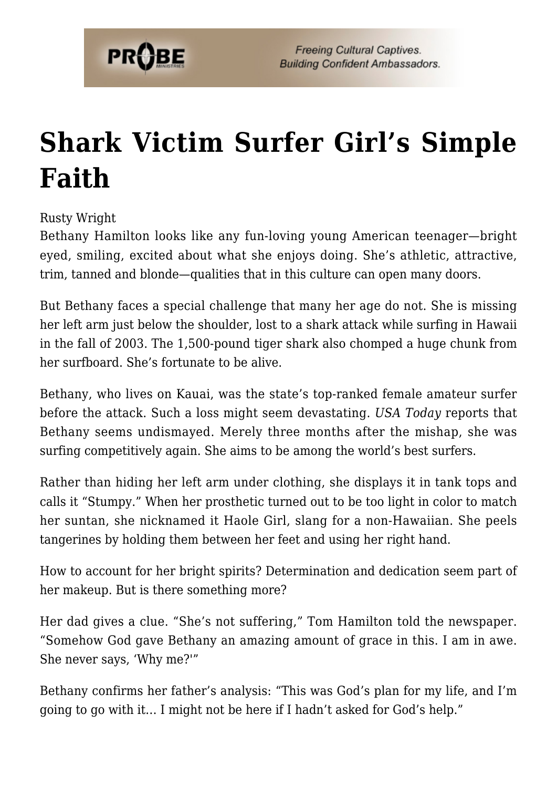

## **[Shark Victim Surfer Girl's Simple](https://probe.org/shark-victim-surfer-girls-simple-faith/) [Faith](https://probe.org/shark-victim-surfer-girls-simple-faith/)**

Rusty Wright

Bethany Hamilton looks like any fun-loving young American teenager—bright eyed, smiling, excited about what she enjoys doing. She's athletic, attractive, trim, tanned and blonde—qualities that in this culture can open many doors.

But Bethany faces a special challenge that many her age do not. She is missing her left arm just below the shoulder, lost to a shark attack while surfing in Hawaii in the fall of 2003. The 1,500-pound tiger shark also chomped a huge chunk from her surfboard. She's fortunate to be alive.

Bethany, who lives on Kauai, was the state's top-ranked female amateur surfer before the attack. Such a loss might seem devastating. *USA Today* reports that Bethany seems undismayed. Merely three months after the mishap, she was surfing competitively again. She aims to be among the world's best surfers.

Rather than hiding her left arm under clothing, she displays it in tank tops and calls it "Stumpy." When her prosthetic turned out to be too light in color to match her suntan, she nicknamed it Haole Girl, slang for a non-Hawaiian. She peels tangerines by holding them between her feet and using her right hand.

How to account for her bright spirits? Determination and dedication seem part of her makeup. But is there something more?

Her dad gives a clue. "She's not suffering," Tom Hamilton told the newspaper. "Somehow God gave Bethany an amazing amount of grace in this. I am in awe. She never says, 'Why me?'"

Bethany confirms her father's analysis: "This was God's plan for my life, and I'm going to go with it… I might not be here if I hadn't asked for God's help."